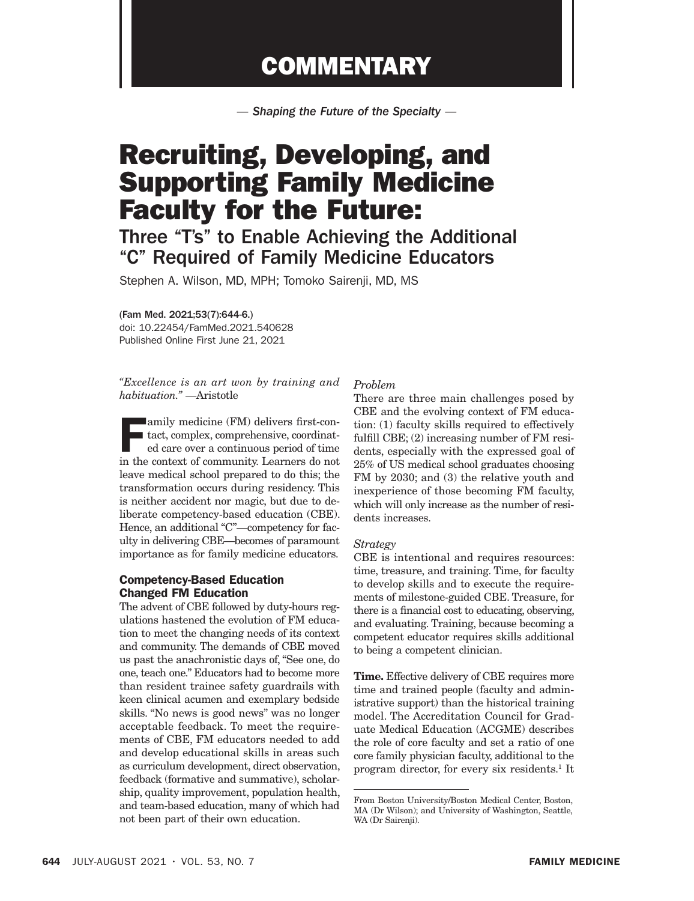## **COMMENTARY**

*— Shaping the Future of the Specialty —*

# Recruiting, Developing, and Supporting Family Medicine Faculty for the Future:

### Three "T's" to Enable Achieving the Additional "C" Required of Family Medicine Educators

Stephen A. Wilson, MD, MPH; Tomoko Sairenji, MD, MS

(Fam Med. 2021;53(7):644-6.)

doi: 10.22454/FamMed.2021.540628 Published Online First June 21, 2021

*"Excellence is an art won by training and habituation."* —Aristotle

**Family medicine (FM) delivers first-con-**I tact, complex, comprehensive, coordinated care over a continuous period of time in the context of community. Learners do not leave medical school prepared to do this; the transformation occurs during residency. This is neither accident nor magic, but due to deliberate competency-based education (CBE). Hence, an additional "C"—competency for faculty in delivering CBE—becomes of paramount importance as for family medicine educators.

#### Competency-Based Education Changed FM Education

The advent of CBE followed by duty-hours regulations hastened the evolution of FM education to meet the changing needs of its context and community. The demands of CBE moved us past the anachronistic days of, "See one, do one, teach one." Educators had to become more than resident trainee safety guardrails with keen clinical acumen and exemplary bedside skills. "No news is good news" was no longer acceptable feedback. To meet the requirements of CBE, FM educators needed to add and develop educational skills in areas such as curriculum development, direct observation, feedback (formative and summative), scholarship, quality improvement, population health, and team-based education, many of which had not been part of their own education.

#### *Problem*

There are three main challenges posed by CBE and the evolving context of FM education: (1) faculty skills required to effectively fulfill CBE; (2) increasing number of FM residents, especially with the expressed goal of 25% of US medical school graduates choosing FM by 2030; and (3) the relative youth and inexperience of those becoming FM faculty, which will only increase as the number of residents increases.

#### *Strategy*

CBE is intentional and requires resources: time, treasure, and training. Time, for faculty to develop skills and to execute the requirements of milestone-guided CBE. Treasure, for there is a financial cost to educating, observing, and evaluating. Training, because becoming a competent educator requires skills additional to being a competent clinician.

Time. Effective delivery of CBE requires more time and trained people (faculty and administrative support) than the historical training model. The Accreditation Council for Graduate Medical Education (ACGME) describes the role of core faculty and set a ratio of one core family physician faculty, additional to the program director, for every six residents.<sup>1</sup> It

From Boston University/Boston Medical Center, Boston, MA (Dr Wilson); and University of Washington, Seattle, WA (Dr Sairenji).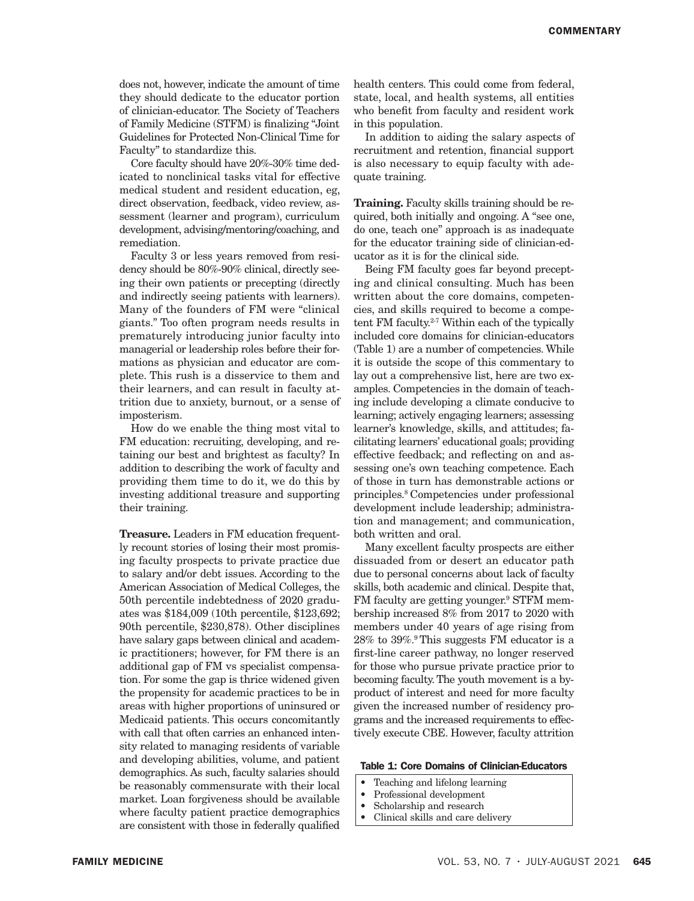does not, however, indicate the amount of time they should dedicate to the educator portion of clinician-educator. The Society of Teachers of Family Medicine (STFM) is finalizing "Joint Guidelines for Protected Non-Clinical Time for Faculty" to standardize this.

Core faculty should have 20%-30% time dedicated to nonclinical tasks vital for effective medical student and resident education, eg, direct observation, feedback, video review, assessment (learner and program), curriculum development, advising/mentoring/coaching, and remediation.

Faculty 3 or less years removed from residency should be 80%-90% clinical, directly seeing their own patients or precepting (directly and indirectly seeing patients with learners). Many of the founders of FM were "clinical giants." Too often program needs results in prematurely introducing junior faculty into managerial or leadership roles before their formations as physician and educator are complete. This rush is a disservice to them and their learners, and can result in faculty attrition due to anxiety, burnout, or a sense of imposterism.

How do we enable the thing most vital to FM education: recruiting, developing, and retaining our best and brightest as faculty? In addition to describing the work of faculty and providing them time to do it, we do this by investing additional treasure and supporting their training.

**Treasure.** Leaders in FM education frequently recount stories of losing their most promising faculty prospects to private practice due to salary and/or debt issues. According to the American Association of Medical Colleges, the 50th percentile indebtedness of 2020 graduates was \$184,009 (10th percentile, \$123,692; 90th percentile, \$230,878). Other disciplines have salary gaps between clinical and academic practitioners; however, for FM there is an additional gap of FM vs specialist compensation. For some the gap is thrice widened given the propensity for academic practices to be in areas with higher proportions of uninsured or Medicaid patients. This occurs concomitantly with call that often carries an enhanced intensity related to managing residents of variable and developing abilities, volume, and patient demographics. As such, faculty salaries should be reasonably commensurate with their local market. Loan forgiveness should be available where faculty patient practice demographics are consistent with those in federally qualified

health centers. This could come from federal, state, local, and health systems, all entities who benefit from faculty and resident work in this population.

In addition to aiding the salary aspects of recruitment and retention, financial support is also necessary to equip faculty with adequate training.

**Training.** Faculty skills training should be required, both initially and ongoing. A "see one, do one, teach one" approach is as inadequate for the educator training side of clinician-educator as it is for the clinical side.

Being FM faculty goes far beyond precepting and clinical consulting. Much has been written about the core domains, competencies, and skills required to become a competent FM faculty.<sup>2-7</sup> Within each of the typically included core domains for clinician-educators (Table 1) are a number of competencies. While it is outside the scope of this commentary to lay out a comprehensive list, here are two examples. Competencies in the domain of teaching include developing a climate conducive to learning; actively engaging learners; assessing learner's knowledge, skills, and attitudes; facilitating learners' educational goals; providing effective feedback; and reflecting on and assessing one's own teaching competence. Each of those in turn has demonstrable actions or principles.8 Competencies under professional development include leadership; administration and management; and communication, both written and oral.

Many excellent faculty prospects are either dissuaded from or desert an educator path due to personal concerns about lack of faculty skills, both academic and clinical. Despite that, FM faculty are getting younger.<sup>9</sup> STFM membership increased 8% from 2017 to 2020 with members under 40 years of age rising from 28% to 39%.9 This suggests FM educator is a first-line career pathway, no longer reserved for those who pursue private practice prior to becoming faculty. The youth movement is a byproduct of interest and need for more faculty given the increased number of residency programs and the increased requirements to effectively execute CBE. However, faculty attrition

#### Table 1: Core Domains of Clinician-Educators

- Teaching and lifelong learning
- Professional development
- Scholarship and research
- Clinical skills and care delivery